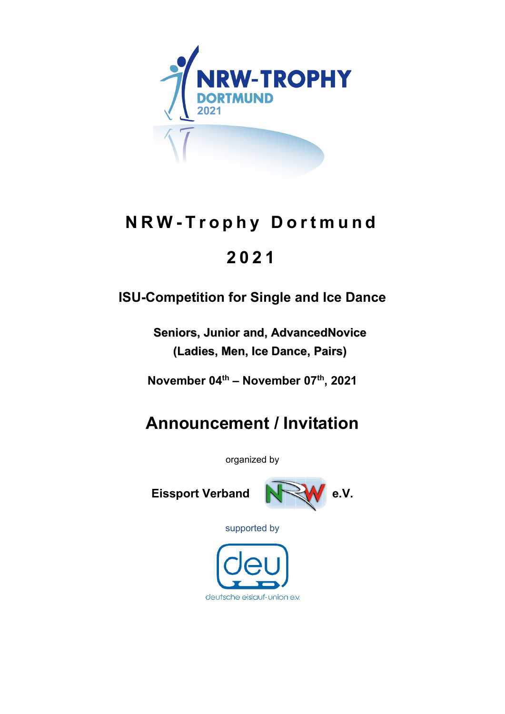

# **NRW - Trophy Dor t mund**

# **2 0 2 1**

# **ISU-Competition for Single and Ice Dance**

**Seniors, Junior and, AdvancedNovice (Ladies, Men, Ice Dance, Pairs)**

**November 04th – November 07th, 2021**

# **Announcement / Invitation**

organized by

Eissport Verband **No. W** e.V.



supported by

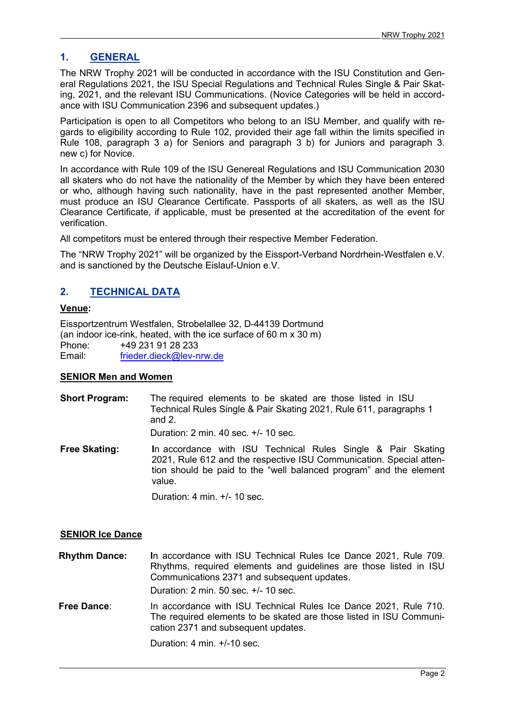### **1. GENERAL**

The NRW Trophy 2021 will be conducted in accordance with the ISU Constitution and General Regulations 2021, the ISU Special Regulations and Technical Rules Single & Pair Skating, 2021, and the relevant ISU Communications. (Novice Categories will be held in accordance with ISU Communication 2396 and subsequent updates.)

Participation is open to all Competitors who belong to an ISU Member, and qualify with regards to eligibility according to Rule 102, provided their age fall within the limits specified in Rule 108, paragraph 3 a) for Seniors and paragraph 3 b) for Juniors and paragraph 3. new c) for Novice.

In accordance with Rule 109 of the ISU Genereal Regulations and ISU Communication 2030 all skaters who do not have the nationality of the Member by which they have been entered or who, although having such nationality, have in the past represented another Member, must produce an ISU Clearance Certificate. Passports of all skaters, as well as the ISU Clearance Certificate, if applicable, must be presented at the accreditation of the event for verification.

All competitors must be entered through their respective Member Federation.

The "NRW Trophy 2021" will be organized by the Eissport-Verband Nordrhein-Westfalen e.V. and is sanctioned by the Deutsche Eislauf-Union e.V.

# **2. TECHNICAL DATA**

#### **Venue:**

Eissportzentrum Westfalen, Strobelallee 32, D-44139 Dortmund (an indoor ice-rink, heated, with the ice surface of 60 m x 30 m) Phone: +49 231 91 28 233 Email: [frieder.dieck@lev-nrw.de](mailto:frieder.dieck@lev-nrw.de)

#### **SENIOR Men and Women**

**Short Program:** The required elements to be skated are those listed in ISU Technical Rules Single & Pair Skating 2021, Rule 611, paragraphs 1 and 2.

Duration: 2 min. 40 sec. +/- 10 sec.

**Free Skating:** In accordance with ISU Technical Rules Single & Pair Skating 2021, Rule 612 and the respective ISU Communication. Special attention should be paid to the "well balanced program" and the element value.

Duration: 4 min. +/- 10 sec.

#### **SENIOR Ice Dance**

**Rhythm Dance: I**n accordance with ISU Technical Rules Ice Dance 2021, Rule 709. Rhythms, required elements and guidelines are those listed in ISU Communications 2371 and subsequent updates. Duration: 2 min. 50 sec. +/- 10 sec.

**Free Dance**: In accordance with ISU Technical Rules Ice Dance 2021, Rule 710. The required elements to be skated are those listed in ISU Communication 2371 and subsequent updates.

Duration: 4 min. +/-10 sec.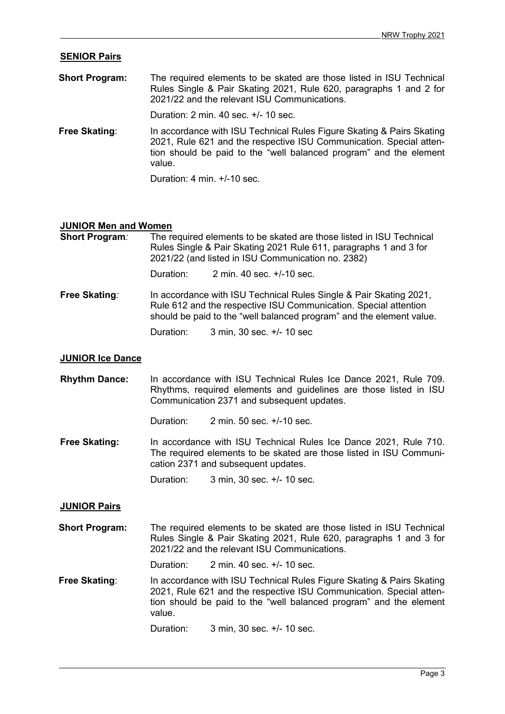#### **SENIOR Pairs**

**Short Program:** The required elements to be skated are those listed in ISU Technical Rules Single & Pair Skating 2021, Rule 620, paragraphs 1 and 2 for 2021/22 and the relevant ISU Communications.

Duration: 2 min. 40 sec. +/- 10 sec.

**Free Skating:** In accordance with ISU Technical Rules Figure Skating & Pairs Skating 2021, Rule 621 and the respective ISU Communication. Special attention should be paid to the "well balanced program" and the element value.

Duration: 4 min. +/-10 sec.

#### **JUNIOR Men and Women**

| <b>Short Program:</b> |           | The required elements to be skated are those listed in ISU Technical<br>Rules Single & Pair Skating 2021 Rule 611, paragraphs 1 and 3 for<br>2021/22 (and listed in ISU Communication no. 2382) |  |  |
|-----------------------|-----------|-------------------------------------------------------------------------------------------------------------------------------------------------------------------------------------------------|--|--|
|                       | Duration: | 2 min. 40 sec. +/-10 sec.                                                                                                                                                                       |  |  |

**Free Skating***:* In accordance with ISU Technical Rules Single & Pair Skating 2021, Rule 612 and the respective ISU Communication. Special attention should be paid to the "well balanced program" and the element value.

Duration: 3 min, 30 sec. +/- 10 sec

#### **JUNIOR Ice Dance**

**Rhythm Dance:** In accordance with ISU Technical Rules Ice Dance 2021, Rule 709. Rhythms, required elements and guidelines are those listed in ISU Communication 2371 and subsequent updates.

Duration: 2 min. 50 sec. +/-10 sec.

**Free Skating:** In accordance with ISU Technical Rules Ice Dance 2021, Rule 710. The required elements to be skated are those listed in ISU Communication 2371 and subsequent updates.

Duration: 3 min, 30 sec. +/- 10 sec.

#### **JUNIOR Pairs**

**Short Program:** The required elements to be skated are those listed in ISU Technical Rules Single & Pair Skating 2021, Rule 620, paragraphs 1 and 3 for 2021/22 and the relevant ISU Communications.

Duration: 2 min. 40 sec. +/- 10 sec.

**Free Skating:** In accordance with ISU Technical Rules Figure Skating & Pairs Skating 2021, Rule 621 and the respective ISU Communication. Special attention should be paid to the "well balanced program" and the element value.

Duration: 3 min, 30 sec. +/- 10 sec.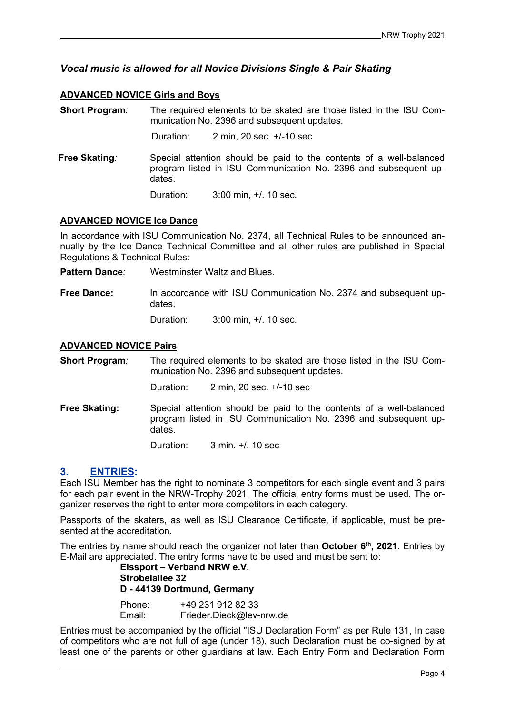## *Vocal music is allowed for all Novice Divisions Single & Pair Skating*

#### **ADVANCED NOVICE Girls and Boys**

**Short Program***:* The required elements to be skated are those listed in the ISU Communication No. 2396 and subsequent updates.

Duration: 2 min, 20 sec. +/-10 sec

**Free Skating**: Special attention should be paid to the contents of a well-balanced program listed in ISU Communication No. 2396 and subsequent updates.

Duration: 3:00 min, +/. 10 sec.

#### **ADVANCED NOVICE Ice Dance**

In accordance with ISU Communication No. 2374, all Technical Rules to be announced annually by the Ice Dance Technical Committee and all other rules are published in Special Regulations & Technical Rules:

- **Pattern Dance***:* Westminster Waltz and Blues.
- **Free Dance:** In accordance with ISU Communication No. 2374 and subsequent updates.

Duration: 3:00 min, +/. 10 sec.

#### **ADVANCED NOVICE Pairs**

**Short Program***:* The required elements to be skated are those listed in the ISU Communication No. 2396 and subsequent updates.

Duration: 2 min, 20 sec. +/-10 sec

**Free Skating:** Special attention should be paid to the contents of a well-balanced program listed in ISU Communication No. 2396 and subsequent updates.

Duration: 3 min. +/. 10 sec

#### **3. ENTRIES:**

Each ISU Member has the right to nominate 3 competitors for each single event and 3 pairs for each pair event in the NRW-Trophy 2021. The official entry forms must be used. The organizer reserves the right to enter more competitors in each category.

Passports of the skaters, as well as ISU Clearance Certificate, if applicable, must be presented at the accreditation.

The entries by name should reach the organizer not later than **October 6th, 2021**. Entries by E-Mail are appreciated. The entry forms have to be used and must be sent to:

#### **Eissport – Verband NRW e.V. Strobelallee 32 D - 44139 Dortmund, Germany** Phone: +49 231 912 82 33

Email: Frieder.Dieck@lev-nrw.de

Entries must be accompanied by the official "ISU Declaration Form" as per Rule 131, In case of competitors who are not full of age (under 18), such Declaration must be co-signed by at least one of the parents or other guardians at law. Each Entry Form and Declaration Form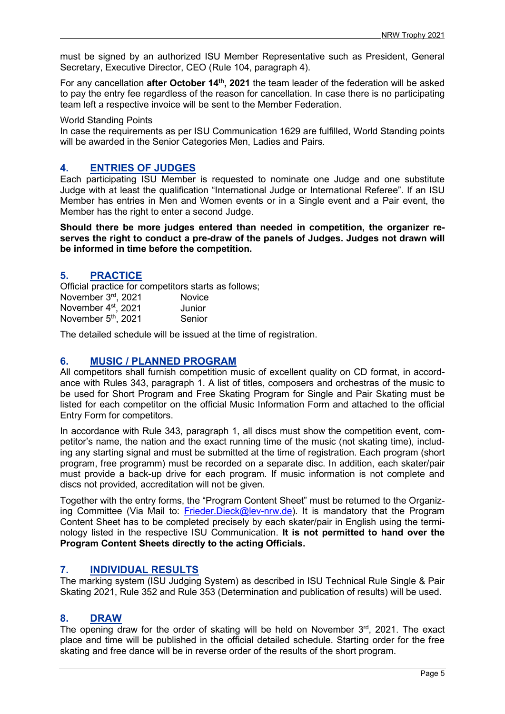must be signed by an authorized ISU Member Representative such as President, General Secretary, Executive Director, CEO (Rule 104, paragraph 4).

For any cancellation **after October 14th, 2021** the team leader of the federation will be asked to pay the entry fee regardless of the reason for cancellation. In case there is no participating team left a respective invoice will be sent to the Member Federation.

World Standing Points

In case the requirements as per ISU Communication 1629 are fulfilled, World Standing points will be awarded in the Senior Categories Men, Ladies and Pairs.

### **4. ENTRIES OF JUDGES**

Each participating ISU Member is requested to nominate one Judge and one substitute Judge with at least the qualification "International Judge or International Referee". If an ISU Member has entries in Men and Women events or in a Single event and a Pair event, the Member has the right to enter a second Judge.

**Should there be more judges entered than needed in competition, the organizer reserves the right to conduct a pre-draw of the panels of Judges. Judges not drawn will be informed in time before the competition.** 

#### **5. PRACTICE**

Official practice for competitors starts as follows;

| November 3rd, 2021              | <b>Novice</b> |
|---------------------------------|---------------|
| November 4 <sup>st</sup> , 2021 | Junior        |
| November 5 <sup>th</sup> , 2021 | Senior        |

The detailed schedule will be issued at the time of registration.

### **6. MUSIC / PLANNED PROGRAM**

All competitors shall furnish competition music of excellent quality on CD format, in accordance with Rules 343, paragraph 1. A list of titles, composers and orchestras of the music to be used for Short Program and Free Skating Program for Single and Pair Skating must be listed for each competitor on the official Music Information Form and attached to the official Entry Form for competitors.

In accordance with Rule 343, paragraph 1, all discs must show the competition event, competitor's name, the nation and the exact running time of the music (not skating time), including any starting signal and must be submitted at the time of registration. Each program (short program, free programm) must be recorded on a separate disc. In addition, each skater/pair must provide a back-up drive for each program. If music information is not complete and discs not provided, accreditation will not be given.

Together with the entry forms, the "Program Content Sheet" must be returned to the Organiz-ing Committee (Via Mail to: [Frieder.Dieck@lev-nrw.de\)](mailto:Frieder.Dieck@lev-nrw.de). It is mandatory that the Program Content Sheet has to be completed precisely by each skater/pair in English using the terminology listed in the respective ISU Communication. **It is not permitted to hand over the Program Content Sheets directly to the acting Officials.**

### **7. INDIVIDUAL RESULTS**

The marking system (ISU Judging System) as described in ISU Technical Rule Single & Pair Skating 2021, Rule 352 and Rule 353 (Determination and publication of results) will be used.

### **8. DRAW**

The opening draw for the order of skating will be held on November  $3<sup>rd</sup>$ , 2021. The exact place and time will be published in the official detailed schedule. Starting order for the free skating and free dance will be in reverse order of the results of the short program.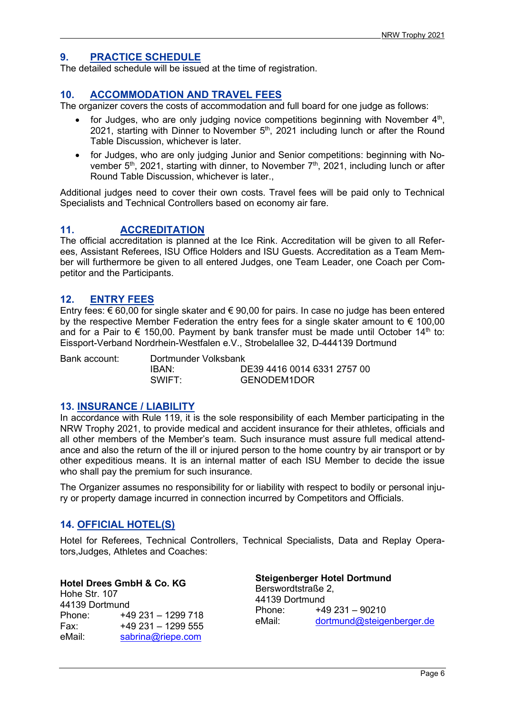### **9. PRACTICE SCHEDULE**

The detailed schedule will be issued at the time of registration.

#### **10. ACCOMMODATION AND TRAVEL FEES**

The organizer covers the costs of accommodation and full board for one judge as follows:

- for Judges, who are only judging novice competitions beginning with November  $4<sup>th</sup>$ , 2021, starting with Dinner to November  $5<sup>th</sup>$ , 2021 including lunch or after the Round Table Discussion, whichever is later.
- for Judges, who are only judging Junior and Senior competitions: beginning with November  $5<sup>th</sup>$ , 2021, starting with dinner, to November  $7<sup>th</sup>$ , 2021, including lunch or after Round Table Discussion, whichever is later.,

Additional judges need to cover their own costs. Travel fees will be paid only to Technical Specialists and Technical Controllers based on economy air fare.

### **11. ACCREDITATION**

The official accreditation is planned at the Ice Rink. Accreditation will be given to all Referees, Assistant Referees, ISU Office Holders and ISU Guests. Accreditation as a Team Member will furthermore be given to all entered Judges, one Team Leader, one Coach per Competitor and the Participants.

#### **12. ENTRY FEES**

Entry fees: € 60,00 for single skater and € 90,00 for pairs. In case no judge has been entered by the respective Member Federation the entry fees for a single skater amount to  $\epsilon$  100,00 and for a Pair to  $\epsilon$  150,00. Payment by bank transfer must be made until October 14<sup>th</sup> to: Eissport-Verband Nordrhein-Westfalen e.V., Strobelallee 32, D-444139 Dortmund

| Bank account: | Dortmunder Volksbank |                             |
|---------------|----------------------|-----------------------------|
|               | <b>IBAN</b>          | DE39 4416 0014 6331 2757 00 |
|               | SWIFT                | GENODEM1DOR                 |

#### **13. INSURANCE / LIABILITY**

In accordance with Rule 119, it is the sole responsibility of each Member participating in the NRW Trophy 2021, to provide medical and accident insurance for their athletes, officials and all other members of the Member's team. Such insurance must assure full medical attendance and also the return of the ill or injured person to the home country by air transport or by other expeditious means. It is an internal matter of each ISU Member to decide the issue who shall pay the premium for such insurance.

The Organizer assumes no responsibility for or liability with respect to bodily or personal injury or property damage incurred in connection incurred by Competitors and Officials.

#### **14. OFFICIAL HOTEL(S)**

Hotel for Referees, Technical Controllers, Technical Specialists, Data and Replay Operators,Judges, Athletes and Coaches:

**Hotel Drees GmbH & Co. KG** Hohe Str. 107 44139 Dortmund Phone: +49 231 – 1299 718 Fax:  $+49\,231 - 1299\,555$ <br>eMail: sabrina@riepe.com [sabrina@riepe.com](mailto:sabrina@riepe.com)

#### **Steigenberger Hotel Dortmund** Berswordtstraße 2, 44139 Dortmund Phone: +49 231 – 90210

eMail: [dortmund@steigenberger.de](mailto:dortmund@steigenberger.de)